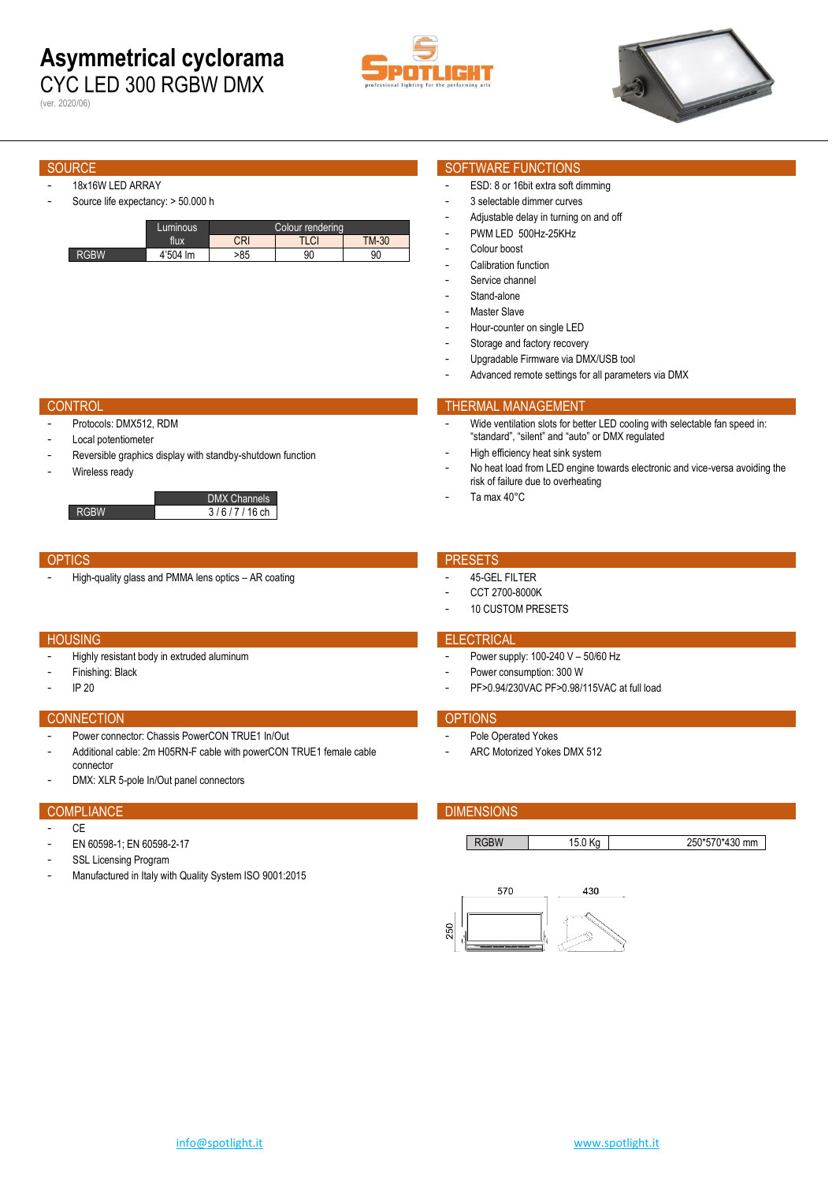## **Asymmetrical cyclorama** CYC LED 300 RGBW DMX

(ver. 2020/06)





- 18x16W LED ARRAY
- Source life expectancy: > 50.000 h

|      | Luminous | Colour rendering |              |              |
|------|----------|------------------|--------------|--------------|
|      | flux     | CRI              | וח וד<br>LUI | <b>TM-30</b> |
| RGBW | 4'504 lm | >85              | 90           | 90           |

## SOURCE SOURCE SOFTWARE FUNCTIONS

- ESD: 8 or 16bit extra soft dimming
- 3 selectable dimmer curves
- Adjustable delay in turning on and off
- PWM LED 500Hz-25KHz
- Colour boost
- Calibration function
- Service channel Stand-alone
- Master Slave
- Hour-counter on single LED
- Storage and factory recovery
- Upgradable Firmware via DMX/USB tool

High efficiency heat sink system

risk of failure due to overheating

Advanced remote settings for all parameters via DMX

"standard", "silent" and "auto" or DMX regulated

Wide ventilation slots for better LED cooling with selectable fan speed in:

No heat load from LED engine towards electronic and vice-versa avoiding the

### **CONTROL THERMAL MANAGEMENT**

- Protocols: DMX512, RDM
- Local potentiometer
- Reversible graphics display with standby-shutdown function
- Wireless ready



## OPTICS **PRESETS**

- High-quality glass and PMMA lens optics – AR coating example of the state of the 45-GEL FILTER

- Highly resistant body in extruded aluminum
- Finishing: Black
- IP 20

## CONNECTION **CONNECTION**

- Power connector: Chassis PowerCON TRUE1 In/Out
- Additional cable: 2m H05RN-F cable with powerCON TRUE1 female cable connector
- DMX: XLR 5-pole In/Out panel connectors

- $C<sub>F</sub>$
- EN 60598-1; EN 60598-2-17
- SSL Licensing Program
- Manufactured in Italy with Quality System ISO 9001:2015

Ta max 40°C

- CCT 2700-8000K
- 10 CUSTOM PRESETS

## **HOUSING ELECTRICAL**

- Power supply:  $100-240$  V  $50/60$  Hz
- Power consumption: 300 W
- PF>0.94/230VAC PF>0.98/115VAC at full load

- Pole Operated Yokes
- ARC Motorized Yokes DMX 512

## COMPLIANCE **COMPLIANCE COMPLIANCE**